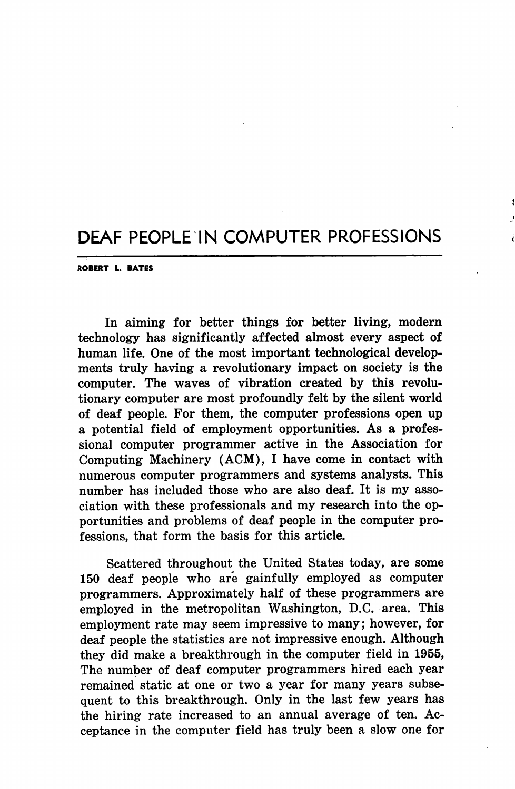## DEAF PEOPLE IN COMPUTER PROFESSIONS

ROBERT L. BATES

In aiming for better things for better living, modern technology has significantly affected almost every aspect of human life. One of the most important technological develop ments truly having a revolutionary impact on society is the computer. The waves of vibration created by this revolu tionary computer are most profoundly felt by the silent world of deaf people. For them, the computer professions open up a potential field of employment opportunities. As a profes sional computer programmer active in the Association for Computing Machinery (AGM), I have come in contact with numerous computer programmers and systems analysts. This number has included those who are also deaf. It is my asso ciation with these professionals and my research into the op portunities and problems of deaf people in the computer pro fessions, that form the basis for this article.

Scattered throughout the United States today, are some 150 deaf people who are gainfully employed as computer programmers. Approximately half of these programmers are employed in the metropolitan Washington, D.C. area. This employment rate may seem impressive to many; however, for deaf people the statistics are not impressive enough. Although they did make a breakthrough in the computer field in 1955, The number of deaf computer programmers hired each year remained static at one or two a year for many years subse quent to this breakthrough. Only in the last few years has the hiring rate increased to an annual average of ten. Ac ceptance in the computer field has truly been a slow one for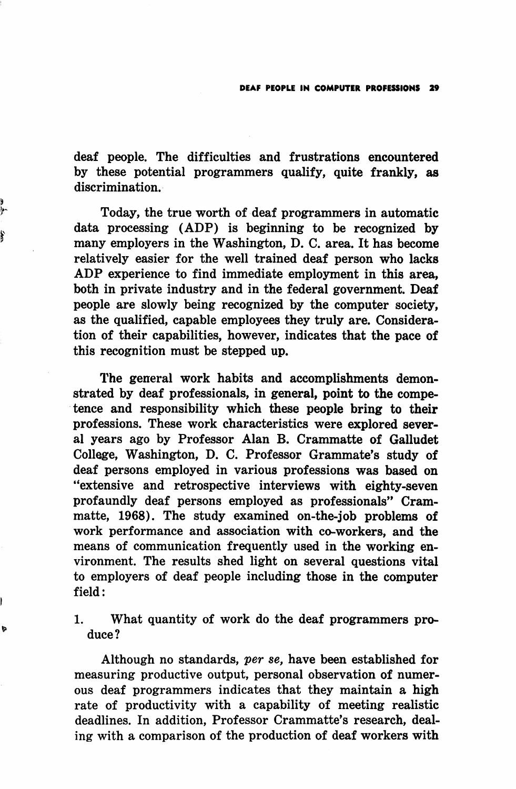deaf people. The difficulties and frustrations encountered by these potential programmers qualify, quite frankly, as discrimination.

Today, the true worth of deaf programmers in automatic data processing (ADP) is beginning to be recognized by many employers in the Washington, D. C. area. It has become relatively easier for the well trained deaf person who lacks ADP experience to find immediate employment in this area, both in private industry and in the federal government. Deaf people are slowly being recognized by the computer society, as the qualified, capable employees they truly are. Considera tion of their capabilities, however, indicates that the pace of this recognition must be stepped up.

f

b

The general work habits and accomplishments demon strated by deaf professionals, in general, point to the compe tence and responsibility which these people bring to their professions. These work characteristics were explored sever al years ago by Professor Alan B. Crammatte of Galludet College, Washington, D. C. Professor Grammate's study of deaf persons employed in various professions was based on "extensive and retrospective interviews with eighty-seven profaundly deaf persons employed as professionals" Crammatte, 1968). The study examined on-the-job problems of work performance and association with co-workers, and the means of communication frequently used in the working en vironment. The results shed light on several questions vital to employers of deaf people including those in the computer field:

1. What quantity of work do the deaf programmers pro duce?

Although no standards, per se, have been established for measuring productive output, personal observation of numer ous deaf programmers indicates that they maintain a high rate of productivity with a capability of meeting realistic deadlines. In addition. Professor Crammatte's research, deal ing with a comparison of the production of deaf workers with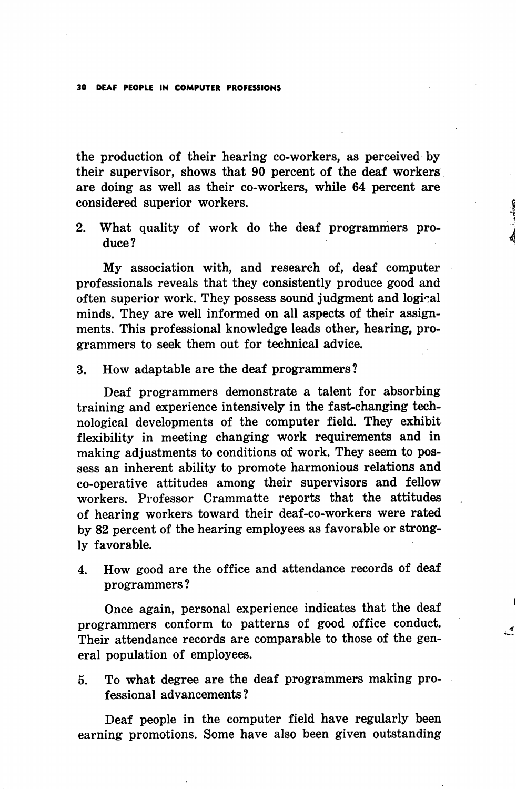30 DEAF PEOPLE IN COMPUTER PROFESSIONS

the production of their hearing co-workers, as perceived by their supervisor, shows that 90 percent of the deaf workers are doing as well as their co-workers, while 64 percent are considered superior workers.

2. What quality of work do the deaf programmers pro duce?

My association with, and research of, deaf computer professionals reveals that they consistently produce good and often superior work. They possess sound judgment and logical minds. They are well informed on all aspects of their assign ments. This professional knowledge leads other, hearing, pro grammers to seek them out for technical advice.

3. How adaptable are the deaf programmers?

Deaf programmers demonstrate a talent for absorbing training and experience intensively in the fast-changing tech nological developments of the computer field. They exhibit flexibility in meeting changing work requirements and in making adjustments to conditions of work. They seem to pos sess an inherent ability to promote harmonious relations and co-operative attitudes among their supervisors and fellow workers. Professor Crammatte reports that the attitudes of hearing workers toward their deaf-co-workers were rated by 82 percent of the hearing employees as favorable or strong ly favorable.

4. How good are the office and attendance records of deaf programmers?

Once again, personal experience indicates that the deaf programmers conform to patterns of good office conduct. Their attendance records are comparable to those of the gen eral population of employees.

5. To what degree are the deaf programmers making pro fessional advancements?

Deaf people in the computer field have regularly been earning promotions. Some have also been given outstanding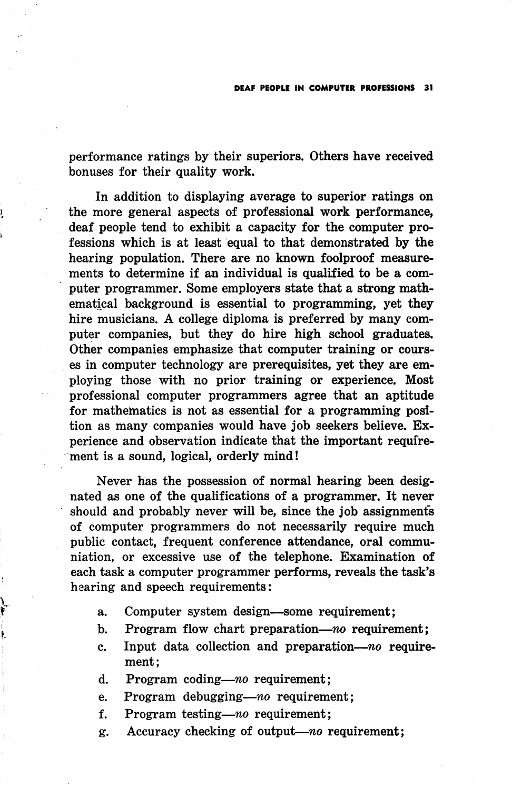performance ratings by their superiors. Others have received bonuses for their quality work.

In addition to displaying average to superior ratings on the more general aspects of professional work performance, deaf people tend to exhibit a capacity for the computer pro fessions which is at least equal to that demonstrated by the hearing population. There are no known foolproof measurements to determine if an individual is qualified to be a com puter programmer. Some employers state that a strong math ematical background is essential to programming, yet they hire musicians. A college diploma is preferred by many com puter companies, but they do hire high school graduates. Other companies emphasize that computer training or cours es in computer technology are prerequisites, yet they are em ploying those with no prior training or experience. Most professional computer programmers agree that an aptitude for mathematics is not as essential for a programming posi tion as many companies would have job seekers believe. Ex perience and observation indicate that the important require ment is a sound, logical, orderly mind!

Never has the possession of normal hearing been desig nated as one of the qualifications of a programmer. It never should and probably never will be, since the job assignments of computer programmers do not necessarily require much public contact, frequent conference attendance, oral communiation, or excessive use of the telephone. Examination of each task a computer programmer performs, reveals the task's hearing and speech requirements:

- a. Computer system design—some requirement;
- b. Program flow chart preparation—no requirement;
- c. Input data collection and preparation— $no$  requirement;
- d. Program coding—no requirement;

ŧ,

- e. Program debugging—no requirement;
- f. Program testing—no requirement;
- g. Accuracy checking of output—no requirement;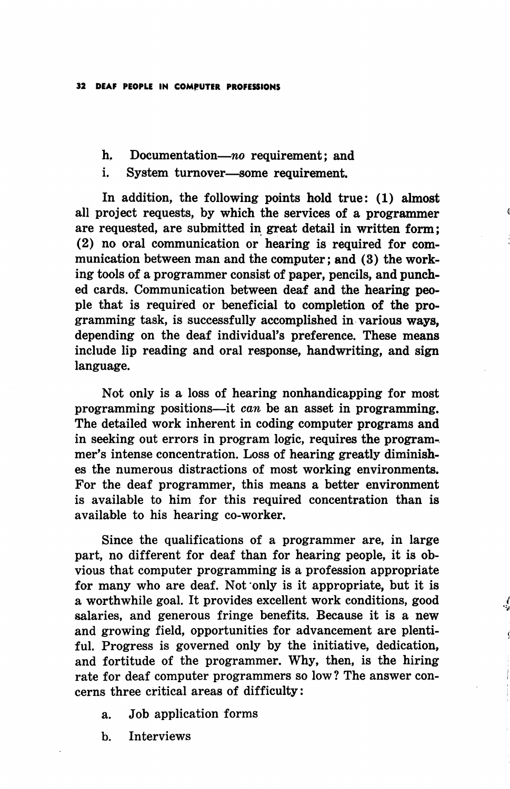- h. Documentation—no requirement; and
- i. System turnover—some requirement.

In addition, the following points hold true: (1) almost all project requests, by which the services of a programmer are requested, are submitted in great detail in written form; (2) no oral communication or hearing is required for com munication between man and the computer; and (3) the work ing tools of a programmer consist of paper, pencils, and punch ed cards. Communication between deaf and the hearing peo ple that is required or beneficial to completion of the pro gramming task, is successfully accomplished in various ways, depending on the deaf individual's preference. These means include lip reading and oral response, handwriting, and sign language.

Not only is a loss of hearing nonhandicapping for most programming positions—it can be an asset in programming. The detailed work inherent in coding computer programs and in seeking out errors in program logic, requires the program-, mer's intense concentration. Loss of hearing greatly diminish es the numerous distractions of most working environments. For the deaf programmer, this means a better environment is available to him for this required concentration than is available to his hearing co-worker.

Since the qualifications of a programmer are, in large part, no different for deaf than for hearing people, it is ob vious that computer programming is a profession appropriate for many who are deaf. Not only is it appropriate, but it is a worthwhile goal. It provides excellent work conditions, good salaries, and generous fringe benefits. Because it is a new and growing field, opportunities for advancement are plenti ful, Progress is governed only by the initiative, dedication, and fortitude of the programmer. Why, then, is the hiring rate for deaf computer programmers so low? The answer con cerns three critical areas of difficulty:

- a. Job application forms
- b. Interviews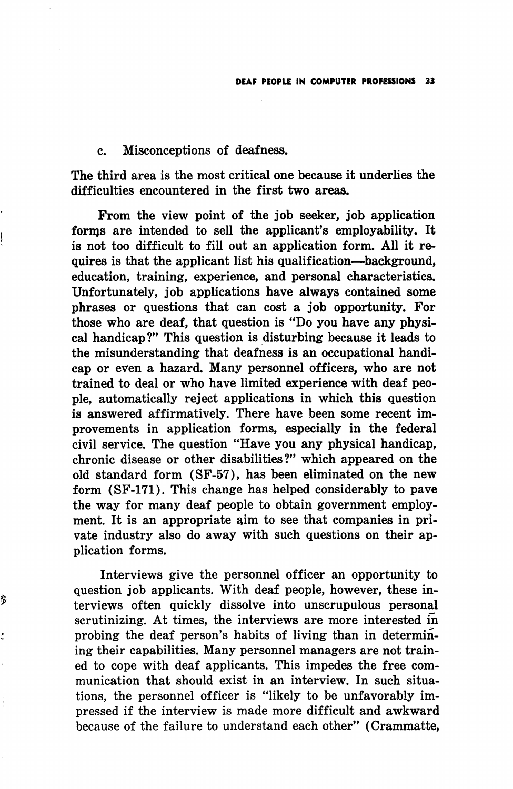## c. Misconceptions of deafness.

The third area is the most critical one because it underlies the difficulties encountered in the first two areas.

From the view point of the job seeker, job application forms are intended to sell the applicant's employability. It is not too difficult to fill out an application form. All it re quires is that the applicant list his qualification—^background, education, training, experience, and personal characteristics. Unfortunately, job applications have always contained some phrases or questions that can cost a job opportunity. For those who are deaf, that question is "Do you have any physi cal handicap?" This question is disturbing because it leads to the misunderstanding that deafness is an occupational handi cap or even a hazard. Many personnel officers, who are not trained to deal or who have limited experience with deaf peo ple, automatically reject applications in which this question is answered affirmatively. There have been some recent im provements in application forms, especially in the federal civil service. The question "Have you any physical handicap, chronic disease or other disabilities?" which appeared on the old standard form (SF-57), has been eliminated on the new form (SF-171). This change has helped considerably to pave the way for many deaf people to obtain government employ ment. It is an appropriate aim to see that companies in pri vate industry also do away with such questions on their ap plication forms.

Interviews give the personnel officer an opportunity to question job applicants. With deaf people, however, these in terviews often quickly dissolve into unscrupulous personal scrutinizing. At times, the interviews are more interested in probing the deaf person's habits of living than in determin ing their capabilities. Many personnel managers are not train ed to cope with deaf applicants. This impedes the free com munication that should exist in an interview. In such situa tions, the personnel officer is "likely to be unfavorably im pressed if the interview is made more difficult and awkward because of the failure to understand each other" (Crammatte,

Ś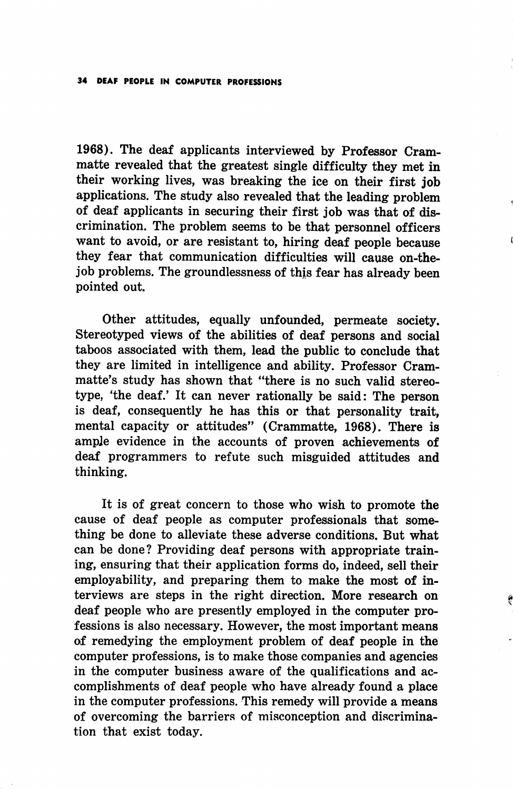1968). The deaf applicants interviewed by Professor Crammatte revealed that the greatest single difficulty they met in their working lives, was breaking the ice on their first job applications. The study also revealed that the leading problem of deaf applicants in securing their first job was that of dis crimination. The problem seems to be that personnel officers want to avoid, or are resistant to, hiring deaf people because they fear that communication difficulties will cause on-thejob problems. The groundlessness of this fear has already been pointed out.

Other attitudes, equally unfounded, permeate society. Stereotyped views of the abilities of deaf persons and social taboos associated with them, lead the public to conclude that they are limited in intelligence and ability. Professor Crammatte's study has shown that "there is no such valid stereo type, 'the deaf.' It can never rationally be said: The person is deaf, consequently he has this or that personality trait, mental capacity or attitudes" (Crammatte, 1968). There is ample evidence in the accounts of proven achievements of deaf programmers to refute such misguided attitudes and thinking.

It is of great concern to those who wish to promote the cause of deaf people as computer professionals that some thing be done to alleviate these adverse conditions. But what can be done? Providing deaf persons with appropriate train ing, ensuring that their application forms do, indeed, sell their employability, and preparing them to make the most of in terviews are steps in the right direction. More research on deaf people who are presently employed in the computer pro fessions is also necessary. However, the most important means of remedying the employment problem of deaf people in the computer professions, is to make those companies and agencies in the computer business aware of the qualifications and ac complishments of deaf people who have already found a place in the computer professions. This remedy will provide a means of overcoming the barriers of misconception and discrimination that exist today.